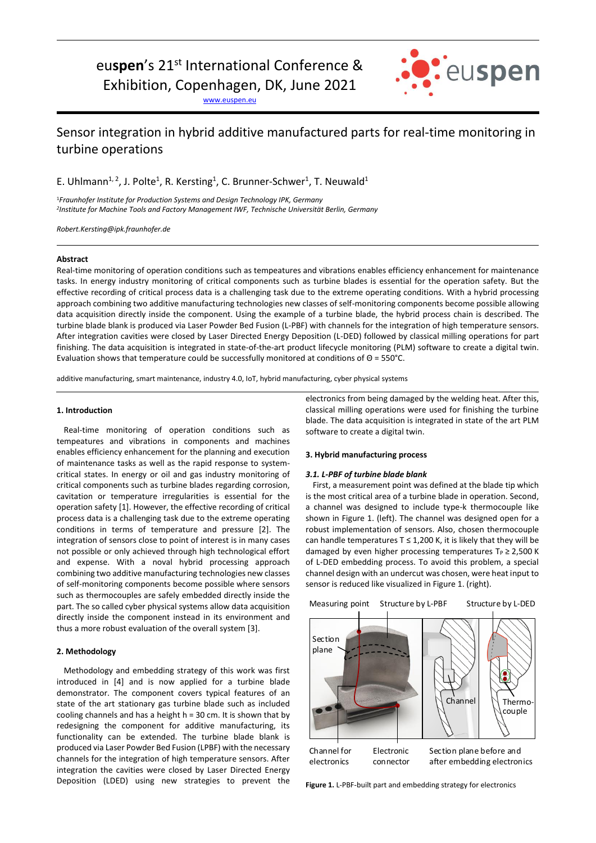# eu**spen**'s 21st International Conference &

Exhibition, Copenhagen, DK, June 2021

[www.euspen.eu](http://www.euspen.eu/)



# Sensor integration in hybrid additive manufactured parts for real-time monitoring in turbine operations

E. Uhlmann<sup>1, 2</sup>, J. Polte<sup>1</sup>, R. Kersting<sup>1</sup>, C. Brunner-Schwer<sup>1</sup>, T. Neuwald<sup>1</sup>

<sup>1</sup>*Fraunhofer Institute for Production Systems and Design Technology IPK, Germany 2 Institute for Machine Tools and Factory Management IWF, Technische Universität Berlin, Germany*

*Robert.Kersting@ipk.fraunhofer.de*

# **Abstract**

Real-time monitoring of operation conditions such as tempeatures and vibrations enables efficiency enhancement for maintenance tasks. In energy industry monitoring of critical components such as turbine blades is essential for the operation safety. But the effective recording of critical process data is a challenging task due to the extreme operating conditions. With a hybrid processing approach combining two additive manufacturing technologies new classes of self-monitoring components become possible allowing data acquisition directly inside the component. Using the example of a turbine blade, the hybrid process chain is described. The turbine blade blank is produced via Laser Powder Bed Fusion (L-PBF) with channels for the integration of high temperature sensors. After integration cavities were closed by Laser Directed Energy Deposition (L-DED) followed by classical milling operations for part finishing. The data acquisition is integrated in state-of-the-art product lifecycle monitoring (PLM) software to create a digital twin. Evaluation shows that temperature could be successfully monitored at conditions of Θ = 550°C.

additive manufacturing, smart maintenance, industry 4.0, IoT, hybrid manufacturing, cyber physical systems

# **1. Introduction**

Real-time monitoring of operation conditions such as tempeatures and vibrations in components and machines enables efficiency enhancement for the planning and execution of maintenance tasks as well as the rapid response to systemcritical states. In energy or oil and gas industry monitoring of critical components such as turbine blades regarding corrosion, cavitation or temperature irregularities is essential for the operation safety [1]. However, the effective recording of critical process data is a challenging task due to the extreme operating conditions in terms of temperature and pressure [2]. The integration of sensors close to point of interest is in many cases not possible or only achieved through high technological effort and expense. With a noval hybrid processing approach combining two additive manufacturing technologies new classes of self-monitoring components become possible where sensors such as thermocouples are safely embedded directly inside the part. The so called cyber physical systems allow data acquisition directly inside the component instead in its environment and thus a more robust evaluation of the overall system [3].

# **2. Methodology**

Methodology and embedding strategy of this work was first introduced in [4] and is now applied for a turbine blade demonstrator. The component covers typical features of an state of the art stationary gas turbine blade such as included cooling channels and has a height h = 30 cm. It is shown that by redesigning the component for additive manufacturing, its functionality can be extended. The turbine blade blank is produced via Laser Powder Bed Fusion (LPBF) with the necessary channels for the integration of high temperature sensors. After integration the cavities were closed by Laser Directed Energy Deposition (LDED) using new strategies to prevent the electronics from being damaged by the welding heat. After this, classical milling operations were used for finishing the turbine blade. The data acquisition is integrated in state of the art PLM software to create a digital twin.

# **3. Hybrid manufacturing process**

#### *3.1. L-PBF of turbine blade blank*

First, a measurement point was defined at the blade tip which is the most critical area of a turbine blade in operation. Second, a channel was designed to include type-k thermocouple like shown in Figure 1. (left). The channel was designed open for a robust implementation of sensors. Also, chosen thermocouple can handle temperatures  $T \le 1,200$  K, it is likely that they will be damaged by even higher processing temperatures  $T_P \ge 2,500$  K of L-DED embedding process. To avoid this problem, a special channel design with an undercut was chosen, were heat input to sensor is reduced like visualized in Figure 1. (right).



**Figure 1.** L-PBF-built part and embedding strategy for electronics